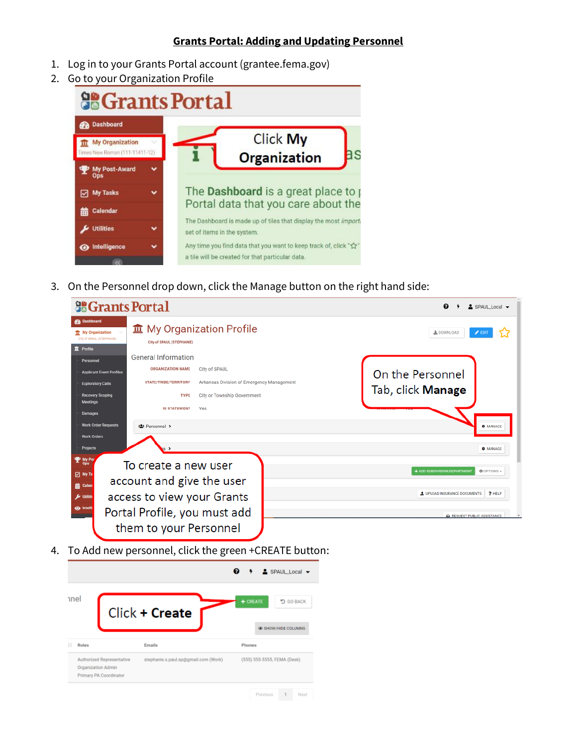## **Grants Portal: Adding and Updating Personnel**

- 1. Log in to your Grants Portal account (grantee.fema.gov)
- 2. Go to your Organization Profile



3. On the Personnel drop down, click the Manage button on the right hand side:

| <b>So Grants Portal</b>                                                                           |                                                        |                                           |                                     | $2$ SPAUL Local $\rightarrow$ |
|---------------------------------------------------------------------------------------------------|--------------------------------------------------------|-------------------------------------------|-------------------------------------|-------------------------------|
| <b>Pa</b> Dashboard<br><b>TT</b> My Organization<br>City of SPAUL (STEPHANIE)<br><b>血</b> Profile | City of SPAUL (STEPHANIE)                              | <b>血</b> My Organization Profile          | 土 DOWNLOAD<br>$\geq$ EDIT           |                               |
| Personnel                                                                                         | <b>General Information</b>                             |                                           |                                     |                               |
| <b>Applicant Event Profiles</b>                                                                   | <b>ORGANIZATION NAME</b>                               | <b>City of SPAUL</b>                      | On the Personnel                    |                               |
| <b>Exploratory Calls</b>                                                                          | STATE/TRIBE/TERRITORY                                  | Arkansas Division of Emergency Management |                                     |                               |
| Recovery Scoping<br><b>Meetings</b>                                                               | <b>TYPE</b>                                            | City or Township Government               | Tab, click Manage                   |                               |
| Damages                                                                                           | <b>IS STATEWIDE?</b>                                   | Yes                                       |                                     |                               |
| <b>Work Order Requests</b>                                                                        | <b>421 Personnel &gt;</b>                              |                                           |                                     | <b>C</b> MANAGE               |
| <b>Work Orders</b><br>Projects                                                                    |                                                        |                                           |                                     | <b>C</b> MANAGE               |
| $\mathbf{P}$ My Por<br><b>⊡</b> My Ta                                                             | To create a new user<br>account and give the user      |                                           | + ADD SUBDIVISION/DEPARTMENT        | <b>C</b> OPTIONS -            |
| <b>前 Calen</b><br>$\boldsymbol{F}$ Utiliti                                                        | access to view your Grants                             |                                           | <b>1</b> UPLOAD INSURANCE DOCUMENTS | ? HELP                        |
| <b>O</b> Intelli                                                                                  | Portal Profile, you must add<br>them to your Personnel |                                           | REQUEST PUBLIC ASSISTANCE           |                               |

4. To Add new personnel, click the green +CREATE button:

|              |                                                                           |                                      | $\triangle$ SPAUL Local $\blacktriangleright$         |
|--------------|---------------------------------------------------------------------------|--------------------------------------|-------------------------------------------------------|
| hnel         |                                                                           | Click + Create                       | $+$ CREATE<br><b>5 GO BACK</b><br>C SHOW/HIDE COLUMNS |
|              |                                                                           | Emails                               | <b>Phones</b>                                         |
| <b>Roles</b> |                                                                           |                                      |                                                       |
|              | Authorized Representative<br>Organization Admin<br>Primary PA Coordinator | stephanie.s.paul.sp@gmail.com (Work) | (555) 555-5555, FEMA (Desk)                           |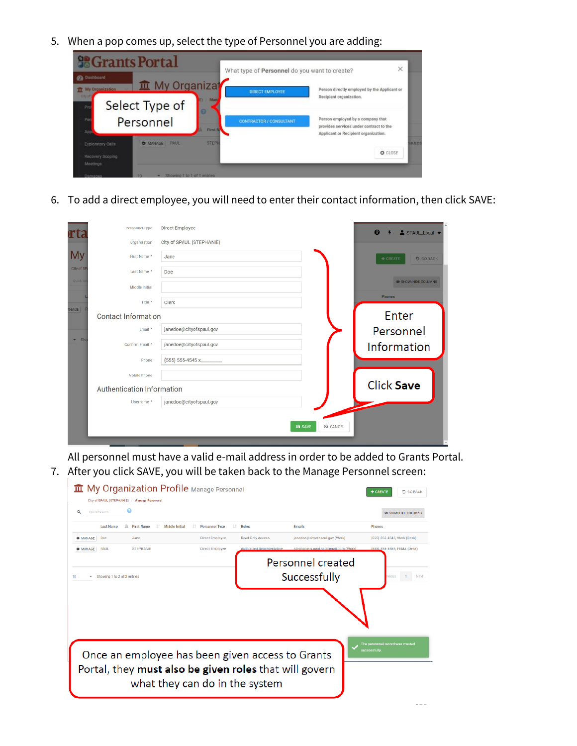5. When a pop comes up, select the type of Personnel you are adding:



6. To add a direct employee, you will need to enter their contact information, then click SAVE:

| rta          | Personnel Type             | Direct Employee           | $\boldsymbol{\Theta}$<br>SPAUL Local - |
|--------------|----------------------------|---------------------------|----------------------------------------|
|              | Organization               | City of SPAUL (STEPHANIE) |                                        |
| My           | First Name *               | Jane                      | <b>5 GO BACK</b><br>$+$ CREATE         |
| City of SP   | Last Name *                | Doe                       |                                        |
| Quick St     | Middle Initial             |                           | <b>E SHOW/HIDE COLUMNS</b>             |
|              | Title *                    | Clerk                     | Phones                                 |
| <b>INAGE</b> | <b>Contact Information</b> |                           | Enter                                  |
|              | Email *                    | janedoe@cityofspaul.gov   | Personnel                              |
| $-$ Sho      | Confirm Email *            | janedoe@cityofspaul.gov   | Information                            |
|              | Phone                      | (555) 555-4545 x          |                                        |
|              | Mobile Phone               |                           |                                        |
|              | Authentication Information |                           | <b>Click Save</b>                      |
|              | Username *                 | janedoe@cityofspaul.gov   |                                        |
|              |                            |                           |                                        |
|              |                            | <b>a</b> SAVE<br>O CANCEL |                                        |

All personnel must have a valid e-mail address in order to be added to Grants Portal. 7. After you click SAVE, you will be taken back to the Manage Personnel screen:

|                                              | <b>II</b> My Organization Profile Manage Personnel      |                              |                                 |                                     | <b>う GO BACK</b><br>CREATE       |
|----------------------------------------------|---------------------------------------------------------|------------------------------|---------------------------------|-------------------------------------|----------------------------------|
| City of SPAUL (STEPHANIE) / Manage Personnel |                                                         |                              |                                 |                                     |                                  |
| Q<br>Ouick Search                            | e                                                       |                              |                                 |                                     | <b>EXERCISE COLUMNS</b>          |
| <b>Last Name</b>                             | lk.<br><b>First Name</b><br><b>Middle Initial</b><br>m. | <b>Personnel Type</b><br>IT. | Roles                           | Emails                              | Phones                           |
| Doe<br><b>C</b> MANAGE                       | <b>Jane</b>                                             | Direct Employee              | Read-Only Access                | janedoe@cityofspaul.gov (Work)      | (555) 555-4545, Work (Desk)      |
| <b>PAUL</b><br><b>C</b> MANAGE               | <b>STEPHANIE</b>                                        | <b>Direct Employee</b>       | <b>Authorized Representativ</b> | stenhanie s naul sn@gmail com (Work | (555) 555-5555, FEMA (Desk)      |
|                                              |                                                         |                              |                                 | Personnel created                   |                                  |
| Showing 1 to 2 of 2 entries<br>10            |                                                         |                              |                                 | Successfully                        | dous<br>Next                     |
|                                              |                                                         |                              |                                 |                                     |                                  |
|                                              |                                                         |                              |                                 |                                     |                                  |
|                                              |                                                         |                              |                                 |                                     |                                  |
|                                              |                                                         |                              |                                 |                                     |                                  |
|                                              |                                                         |                              |                                 |                                     |                                  |
|                                              |                                                         |                              |                                 |                                     | The personnel record was created |
|                                              | Once an employee has been given access to Grants        |                              |                                 |                                     | successfully                     |
|                                              |                                                         |                              |                                 |                                     |                                  |
|                                              | Portal, they must also be given roles that will govern  |                              |                                 |                                     |                                  |
|                                              | what they can do in the system                          |                              |                                 |                                     |                                  |
|                                              |                                                         |                              |                                 |                                     |                                  |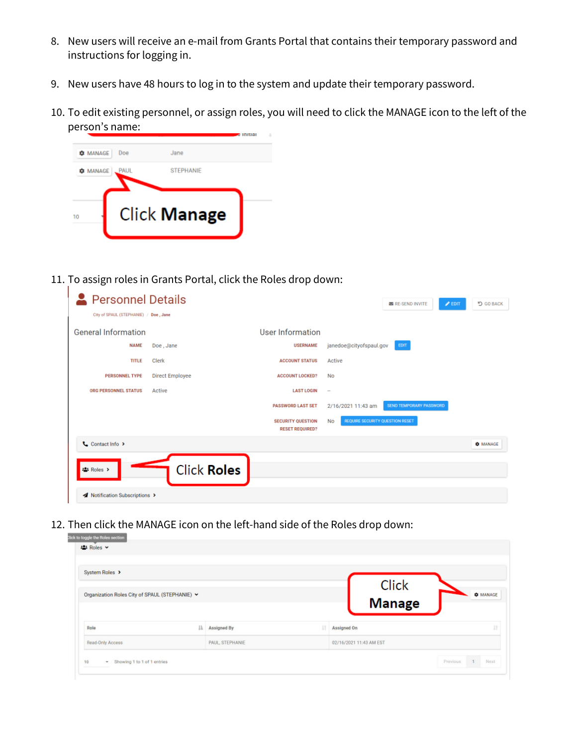- 8. New users will receive an e-mail from Grants Portal that contains their temporary password and instructions for logging in.
- 9. New users have 48 hours to log in to the system and update their temporary password.
- 10. To edit existing personnel, or assign roles, you will need to click the MANAGE icon to the left of the person's name: initial



11. To assign roles in Grants Portal, click the Roles drop down:

| <b>2</b> Personnel Details<br>City of SPAUL (STEPHANIE) / Doe, Jane |                        |                                                    | り GO BACK<br>$\mathscr{P}$ EDIT<br><b>M</b> RE-SEND INVITE |  |  |  |  |  |
|---------------------------------------------------------------------|------------------------|----------------------------------------------------|------------------------------------------------------------|--|--|--|--|--|
| <b>General Information</b>                                          |                        | User Information                                   |                                                            |  |  |  |  |  |
| <b>NAME</b>                                                         | Doe, Jane              | <b>USERNAME</b>                                    | janedoe@cityofspaul.gov<br>EDIT                            |  |  |  |  |  |
| <b>TITLE</b>                                                        | Clerk                  | <b>ACCOUNT STATUS</b>                              | Active                                                     |  |  |  |  |  |
| <b>PERSONNEL TYPE</b>                                               | <b>Direct Employee</b> | <b>ACCOUNT LOCKED?</b>                             | No                                                         |  |  |  |  |  |
| <b>ORG PERSONNEL STATUS</b>                                         | Active                 | <b>LAST LOGIN</b>                                  | $\sim$                                                     |  |  |  |  |  |
|                                                                     |                        | <b>PASSWORD LAST SET</b>                           | <b>SEND TEMPORARY PASSWORD</b><br>2/16/2021 11:43 am       |  |  |  |  |  |
|                                                                     |                        | <b>SECURITY QUESTION</b><br><b>RESET REQUIRED?</b> | <b>REQUIRE SECURITY QUESTION RESET</b><br>No               |  |  |  |  |  |
| Contact Info >                                                      |                        |                                                    | <b>C</b> MANAGE                                            |  |  |  |  |  |
| <b>Click Roles</b><br># Roles >                                     |                        |                                                    |                                                            |  |  |  |  |  |
| A Notification Subscriptions >                                      |                        |                                                    |                                                            |  |  |  |  |  |

12. Then click the MANAGE icon on the left-hand side of the Roles drop down:

| lick to toggle the Roles section<br>· Roles ▼  |    |                 |    |                         |                 |
|------------------------------------------------|----|-----------------|----|-------------------------|-----------------|
| System Roles >                                 |    |                 |    | Click                   |                 |
| Organization Roles City of SPAUL (STEPHANIE) v |    |                 |    | <b>Manage</b>           | <b>C</b> MANAGE |
|                                                | 1k | Assigned By     | 1t | Assigned On             |                 |
| Role                                           |    |                 |    |                         |                 |
| Read-Only Access                               |    | PAUL, STEPHANIE |    | 02/16/2021 11:43 AM EST |                 |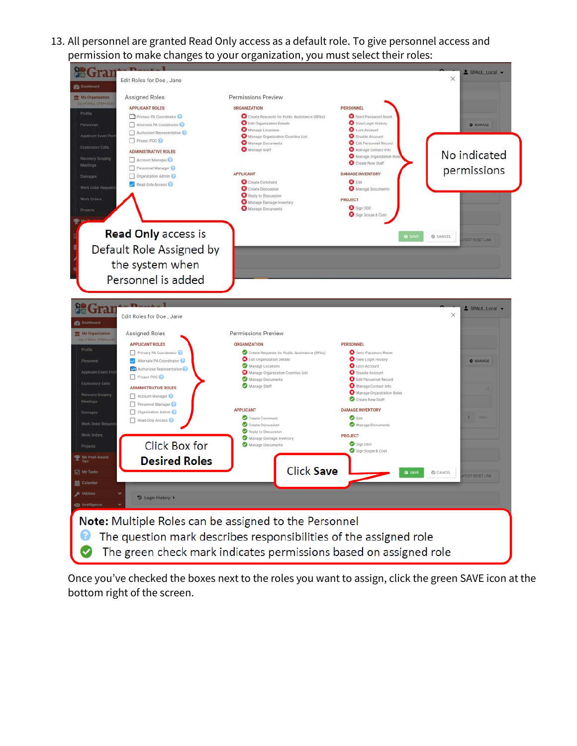13. All personnel are granted Read Only access as a default role. To give personnel access and permission to make changes to your organization, you must select their roles:



Once you've checked the boxes next to the roles you want to assign, click the green SAVE icon at the bottom right of the screen.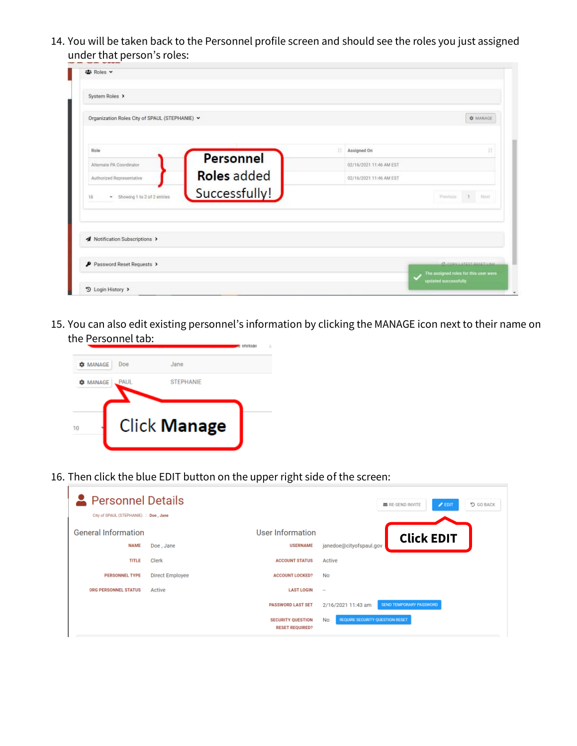14. You will be taken back to the Personnel profile screen and should see the roles you just assigned under that person's roles:

| н | Assigned On             | <b>Q</b> MANAGE                                                |
|---|-------------------------|----------------------------------------------------------------|
|   |                         |                                                                |
|   |                         |                                                                |
|   |                         | Ш                                                              |
|   | 02/16/2021 11:46 AM EST |                                                                |
|   | 02/16/2021 11:46 AM EST |                                                                |
|   |                         | Previous 1 Next                                                |
|   |                         |                                                                |
|   |                         |                                                                |
|   |                         | A CONSULTER DOCTTON                                            |
|   |                         | The assigned roles for this user were<br>updated successfully. |
|   |                         |                                                                |

15. You can also edit existing personnel's information by clicking the MANAGE icon next to their name on the Personnel tab:



16. Then click the blue EDIT button on the upper right side of the screen:

| <b>Personnel Details</b><br>City of SPAUL (STEPHANIE) / Doe, Jane |                 |                                                    | <b>D</b> GO BACK<br>$\mathscr{P}$ EDIT<br><b>ES RE-SEND INVITE</b> |
|-------------------------------------------------------------------|-----------------|----------------------------------------------------|--------------------------------------------------------------------|
| <b>General Information</b><br><b>NAME</b>                         | Doe, Jane       | User Information<br><b>USERNAME</b>                | <b>Click EDIT</b><br>janedoe@cityofspaul.gov                       |
| <b>TITLE</b>                                                      | Clerk           | <b>ACCOUNT STATUS</b>                              | Active                                                             |
| <b>PERSONNEL TYPE</b>                                             | Direct Employee | <b>ACCOUNT LOCKED?</b>                             | No                                                                 |
| ORG PERSONNEL STATUS                                              | Active          | <b>LAST LOGIN</b>                                  | $\sim$                                                             |
|                                                                   |                 | <b>PASSWORD LAST SET</b>                           | <b>SEND TEMPORARY PASSWORD</b><br>2/16/2021 11:43 am               |
|                                                                   |                 | <b>SECURITY QUESTION</b><br><b>RESET REQUIRED?</b> | <b>REQUIRE SECURITY QUESTION RESET</b><br>No                       |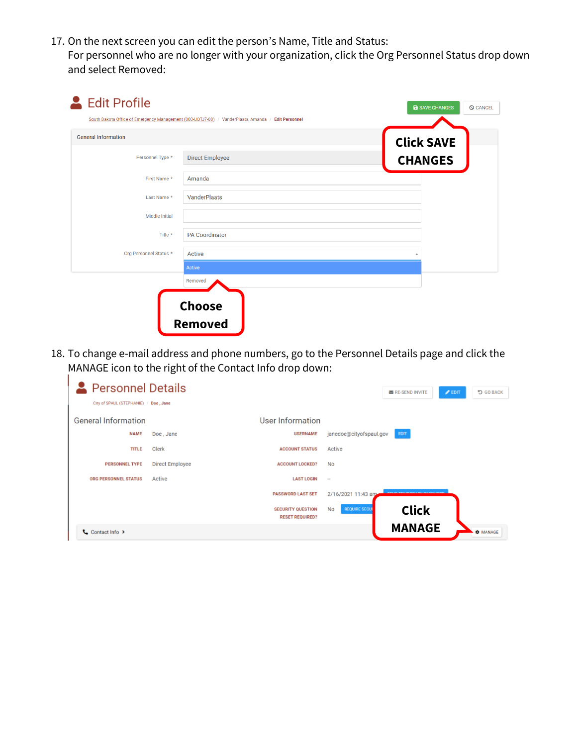17. On the next screen you can edit the person's Name, Title and Status: For personnel who are no longer with your organization, click the Org Personnel Status drop down and select Removed:

| <b>General Information</b> |                        | <b>Click SAVE</b> |
|----------------------------|------------------------|-------------------|
| Personnel Type *           | <b>Direct Employee</b> | <b>CHANGES</b>    |
| First Name *               | Amanda                 |                   |
| Last Name *                | <b>VanderPlaats</b>    |                   |
| <b>Middle Initial</b>      |                        |                   |
| Title *                    | <b>PA Coordinator</b>  |                   |
| Org Personnel Status *     | Active                 |                   |
|                            | Active                 |                   |
|                            | Removed                |                   |

18. To change e-mail address and phone numbers, go to the Personnel Details page and click the MANAGE icon to the right of the Contact Info drop down:

| Personnel Details<br>City of SPAUL (STEPHANIE) / Doe, Jane |                 |                                                    |                            | <b>M</b> RE-SEND INVITE | $\mathscr{P}$ EDIT | り GO BACK       |
|------------------------------------------------------------|-----------------|----------------------------------------------------|----------------------------|-------------------------|--------------------|-----------------|
| <b>General Information</b>                                 |                 | User Information                                   |                            |                         |                    |                 |
| <b>NAME</b>                                                | Doe, Jane       | <b>USERNAME</b>                                    | janedoe@cityofspaul.gov    | EDIT                    |                    |                 |
| <b>TITLE</b>                                               | Clerk           | <b>ACCOUNT STATUS</b>                              | Active                     |                         |                    |                 |
| <b>PERSONNEL TYPE</b>                                      | Direct Employee | <b>ACCOUNT LOCKED?</b>                             | No                         |                         |                    |                 |
| <b>ORG PERSONNEL STATUS</b>                                | Active          | <b>LAST LOGIN</b>                                  | $\sim$                     |                         |                    |                 |
|                                                            |                 | <b>PASSWORD LAST SET</b>                           | 2/16/2021 11:43 am         |                         |                    |                 |
|                                                            |                 | <b>SECURITY QUESTION</b><br><b>RESET REQUIRED?</b> | <b>REQUIRE SECUI</b><br>No | <b>Click</b>            |                    |                 |
| Contact Info >                                             |                 |                                                    |                            | <b>MANAGE</b>           |                    | <b>C</b> MANAGE |